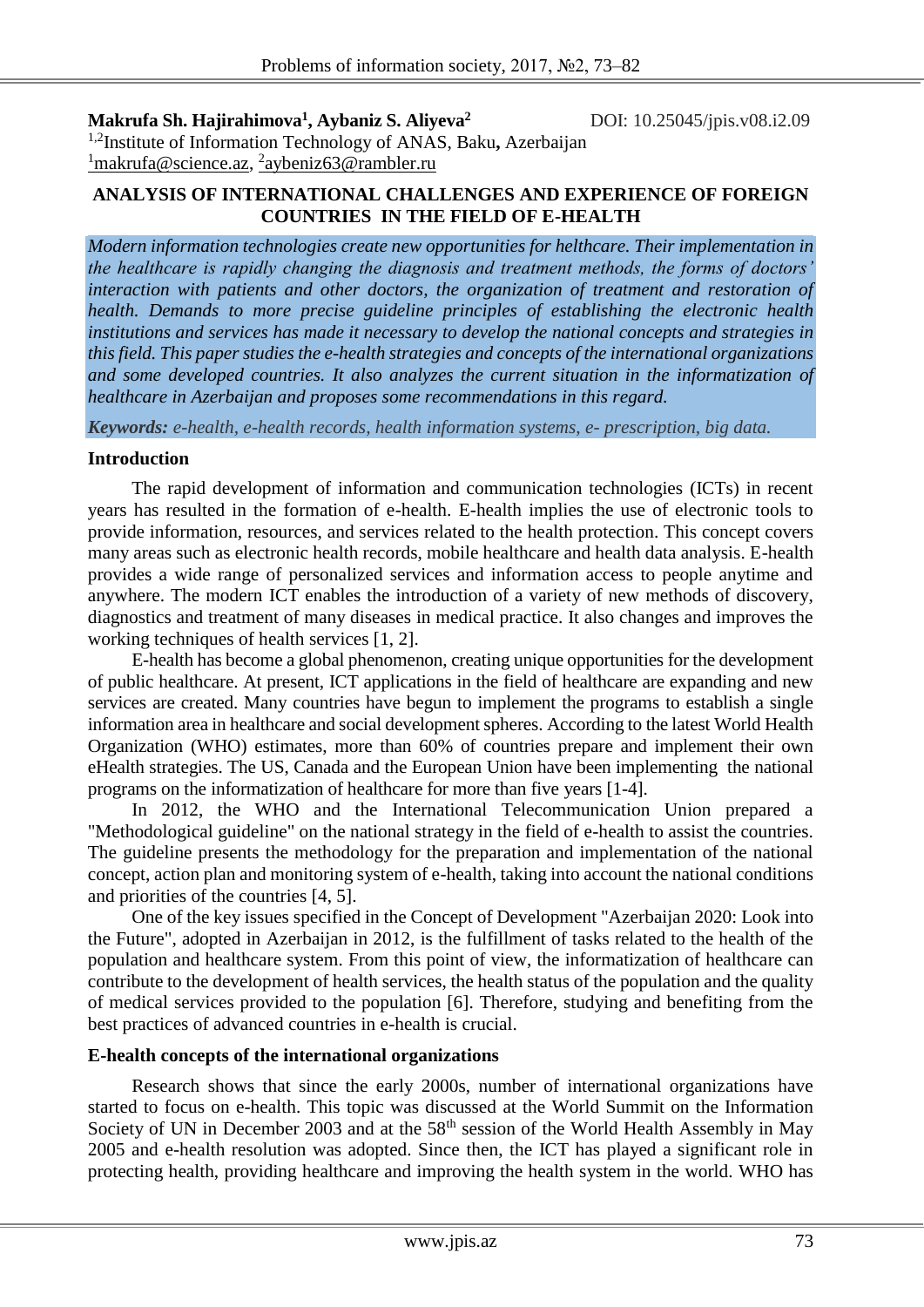**Makrufa Sh. Hajirahimova<sup>1</sup> , Aybaniz S. Aliyeva<sup>2</sup>**

DOI: 10.25045/jpis.v08.i2.09

1,2Institute of Information Technology of ANAS, Baku**,** Azerbaijan <sup>1</sup>makrufa@science.az, <sup>2</sup>[aybeniz63@rambler.ru](mailto:2aybeniz63@rambler.ru)

## **ANALYSIS OF INTERNATIONAL CHALLENGES AND EXPERIENCE OF FOREIGN COUNTRIES IN THE FIELD OF E-HEALTH**

*Modern information technologies create new opportunities for helthcare. Their implementation in the healthcare is rapidly changing the diagnosis and treatment methods, the forms of doctors' interaction with patients and other doctors, the organization of treatment and restoration of health. Demands to more precise guideline principles of establishing the electronic health institutions and services has made it necessary to develop the national concepts and strategies in this field. This paper studies the e-health strategies and concepts of the international organizations and some developed countries. It also analyzes the current situation in the informatization of healthcare in Azerbaijan and proposes some recommendations in this regard.*

*Keywords: e-health, e-health records, health information systems, e- prescription, big data.*

# **Introduction**

The rapid development of information and communication technologies (ICTs) in recent years has resulted in the formation of e-health. E-health implies the use of electronic tools to provide information, resources, and services related to the health protection. This concept covers many areas such as electronic health records, mobile healthcare and health data analysis. E-health provides a wide range of personalized services and information access to people anytime and anywhere. The modern ICT enables the introduction of a variety of new methods of discovery, diagnostics and treatment of many diseases in medical practice. It also changes and improves the working techniques of health services [1, 2].

E-health has become a global phenomenon, creating unique opportunities for the development of public healthcare. At present, ICT applications in the field of healthcare are expanding and new services are created. Many countries have begun to implement the programs to establish a single information area in healthcare and social development spheres. According to the latest World Health Organization (WHO) estimates, more than 60% of countries prepare and implement their own eHealth strategies. The US, Canada and the European Union have been implementing the national programs on the informatization of healthcare for more than five years [1-4].

In 2012, the WHO and the International Telecommunication Union prepared a "Methodological guideline" on the national strategy in the field of e-health to assist the countries. The guideline presents the methodology for the preparation and implementation of the national concept, action plan and monitoring system of e-health, taking into account the national conditions and priorities of the countries [4, 5].

One of the key issues specified in the Concept of Development "Azerbaijan 2020: Look into the Future", adopted in Azerbaijan in 2012, is the fulfillment of tasks related to the health of the population and healthcare system. From this point of view, the informatization of healthcare can contribute to the development of health services, the health status of the population and the quality of medical services provided to the population [6]. Therefore, studying and benefiting from the best practices of advanced countries in e-health is crucial.

### **E-health concepts of the international organizations**

Research shows that since the early 2000s, number of international organizations have started to focus on e-health. This topic was discussed at the World Summit on the Information Society of UN in December 2003 and at the  $58<sup>th</sup>$  session of the World Health Assembly in May 2005 and e-health resolution was adopted. Since then, the ICT has played a significant role in protecting health, providing healthcare and improving the health system in the world. WHO has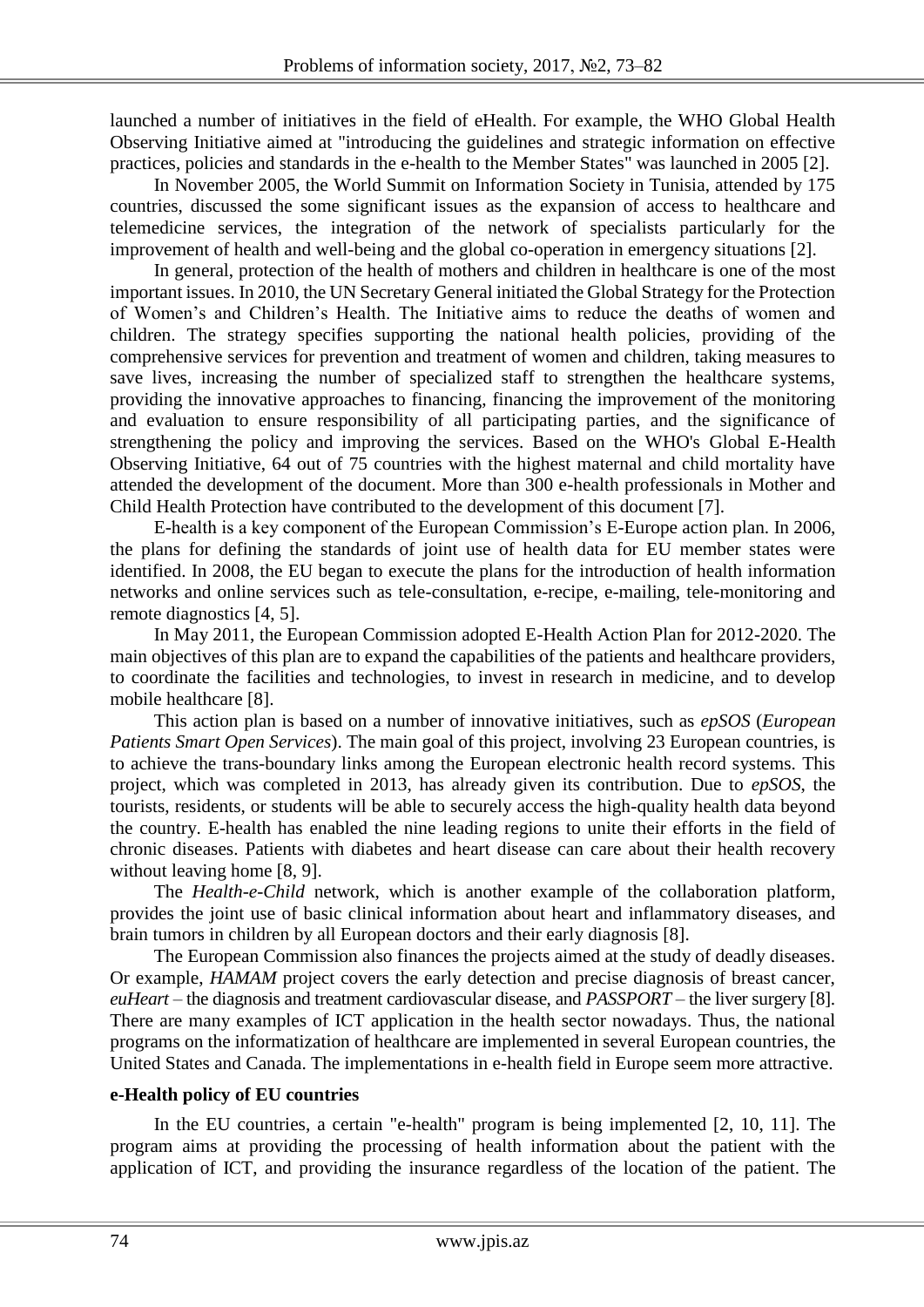launched a number of initiatives in the field of eHealth. For example, the WHO Global Health Observing Initiative aimed at "introducing the guidelines and strategic information on effective practices, policies and standards in the e-health to the Member States" was launched in 2005 [2].

In November 2005, the World Summit on Information Society in Tunisia, attended by 175 countries, discussed the some significant issues as the expansion of access to healthcare and telemedicine services, the integration of the network of specialists particularly for the improvement of health and well-being and the global co-operation in emergency situations [2].

In general, protection of the health of mothers and children in healthcare is one of the most important issues. In 2010, the UN Secretary General initiated the Global Strategy for the Protection of Women's and Children's Health. The Initiative aims to reduce the deaths of women and children. The strategy specifies supporting the national health policies, providing of the comprehensive services for prevention and treatment of women and children, taking measures to save lives, increasing the number of specialized staff to strengthen the healthcare systems, providing the innovative approaches to financing, financing the improvement of the monitoring and evaluation to ensure responsibility of all participating parties, and the significance of strengthening the policy and improving the services. Based on the WHO's Global E-Health Observing Initiative, 64 out of 75 countries with the highest maternal and child mortality have attended the development of the document. More than 300 e-health professionals in Mother and Child Health Protection have contributed to the development of this document [7].

E-health is a key component of the European Commission's E-Europe action plan. In 2006, the plans for defining the standards of joint use of health data for EU member states were identified. In 2008, the EU began to execute the plans for the introduction of health information networks and online services such as tele-consultation, e-recipe, e-mailing, tele-monitoring and remote diagnostics [4, 5].

In May 2011, the European Commission adopted E-Health Action Plan for 2012-2020. The main objectives of this plan are to expand the capabilities of the patients and healthcare providers, to coordinate the facilities and technologies, to invest in research in medicine, and to develop mobile healthcare [8].

This action plan is based on a number of innovative initiatives, such as *epSOS* (*European Patients Smart Open Services*). The main goal of this project, involving 23 European countries, is to achieve the trans-boundary links among the European electronic health record systems. This project, which was completed in 2013, has already given its contribution. Due to *epSOS*, the tourists, residents, or students will be able to securely access the high-quality health data beyond the country. E-health has enabled the nine leading regions to unite their efforts in the field of chronic diseases. Patients with diabetes and heart disease can care about their health recovery without leaving home [8, 9].

The *Health-e-Child* network, which is another example of the collaboration platform, provides the joint use of basic clinical information about heart and inflammatory diseases, and brain tumors in children by all European doctors and their early diagnosis [8].

The European Commission also finances the projects aimed at the study of deadly diseases. Or example, *HAMAM* project covers the early detection and precise diagnosis of breast cancer, *euHeart –* the diagnosis and treatment cardiovascular disease, and *PASSPORT* – the liver surgery [8]. There are many examples of ICT application in the health sector nowadays. Thus, the national programs on the informatization of healthcare are implemented in several European countries, the United States and Canada. The implementations in e-health field in Europe seem more attractive.

### **e-Health policy of EU countries**

In the EU countries, a certain "e-health" program is being implemented [2, 10, 11]. The program aims at providing the processing of health information about the patient with the application of ICT, and providing the insurance regardless of the location of the patient. The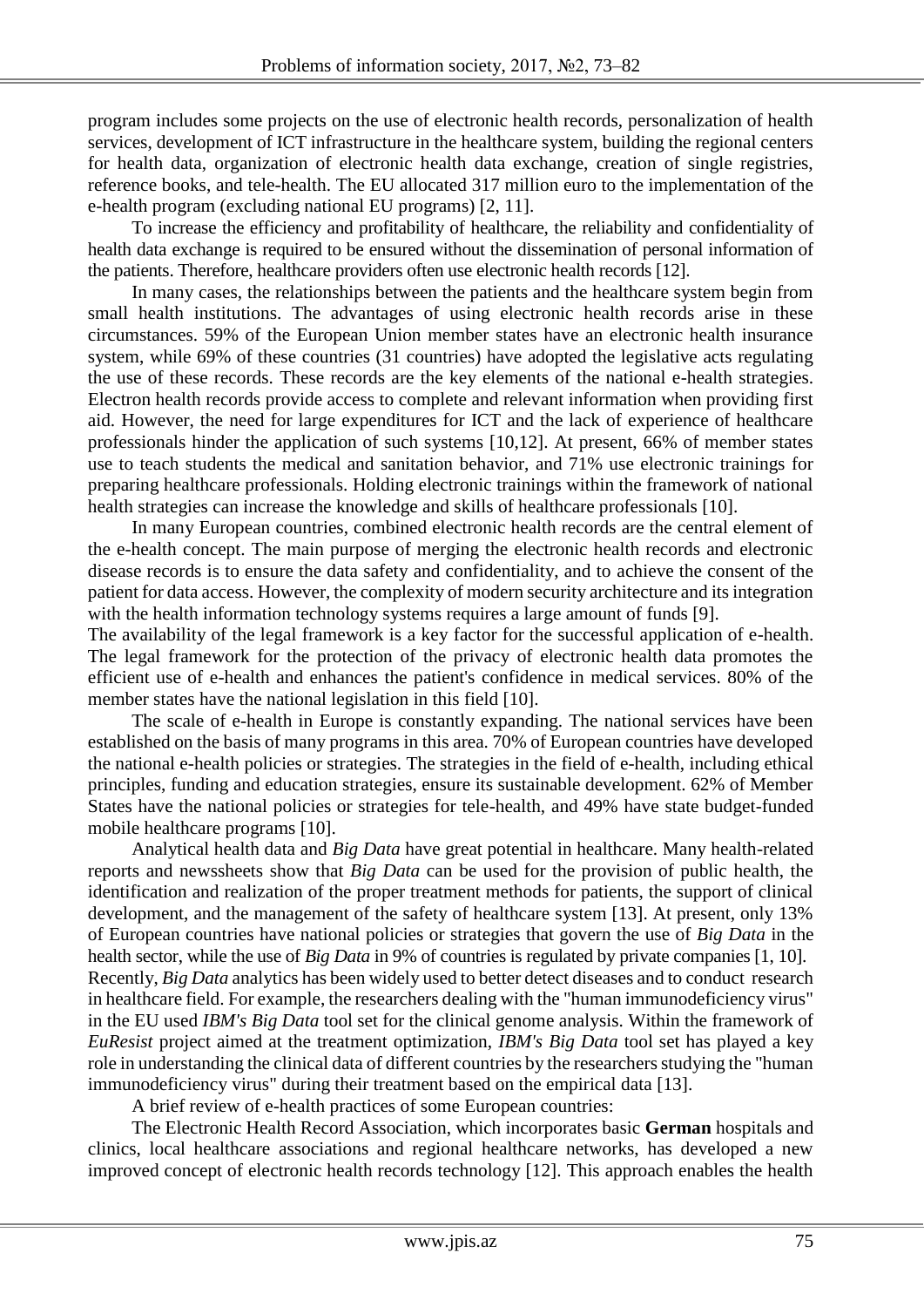program includes some projects on the use of electronic health records, personalization of health services, development of ICT infrastructure in the healthcare system, building the regional centers for health data, organization of electronic health data exchange, creation of single registries, reference books, and tele-health. The EU allocated 317 million euro to the implementation of the e-health program (excluding national EU programs) [2, 11].

To increase the efficiency and profitability of healthcare, the reliability and confidentiality of health data exchange is required to be ensured without the dissemination of personal information of the patients. Therefore, healthcare providers often use electronic health records [12].

In many cases, the relationships between the patients and the healthcare system begin from small health institutions. The advantages of using electronic health records arise in these circumstances. 59% of the European Union member states have an electronic health insurance system, while 69% of these countries (31 countries) have adopted the legislative acts regulating the use of these records. These records are the key elements of the national e-health strategies. Electron health records provide access to complete and relevant information when providing first aid. However, the need for large expenditures for ICT and the lack of experience of healthcare professionals hinder the application of such systems [10,12]. At present, 66% of member states use to teach students the medical and sanitation behavior, and 71% use electronic trainings for preparing healthcare professionals. Holding electronic trainings within the framework of national health strategies can increase the knowledge and skills of healthcare professionals [10].

In many European countries, combined electronic health records are the central element of the e-health concept. The main purpose of merging the electronic health records and electronic disease records is to ensure the data safety and confidentiality, and to achieve the consent of the patient for data access. However, the complexity of modern security architecture and its integration with the health information technology systems requires a large amount of funds [9].

The availability of the legal framework is a key factor for the successful application of e-health. The legal framework for the protection of the privacy of electronic health data promotes the efficient use of e-health and enhances the patient's confidence in medical services. 80% of the member states have the national legislation in this field [10].

The scale of e-health in Europe is constantly expanding. The national services have been established on the basis of many programs in this area. 70% of European countries have developed the national e-health policies or strategies. The strategies in the field of e-health, including ethical principles, funding and education strategies, ensure its sustainable development. 62% of Member States have the national policies or strategies for tele-health, and 49% have state budget-funded mobile healthcare programs [10].

Analytical health data and *Big Data* have great potential in healthcare. Many health-related reports and newssheets show that *Big Data* can be used for the provision of public health, the identification and realization of the proper treatment methods for patients, the support of clinical development, and the management of the safety of healthcare system [13]. At present, only 13% of European countries have national policies or strategies that govern the use of *Big Data* in the health sector, while the use of *Big Data* in 9% of countries is regulated by private companies [1, 10]. Recently, *Big Data* analytics has been widely used to better detect diseases and to conduct research in healthcare field. For example, the researchers dealing with the "human immunodeficiency virus" in the EU used *IBM's Big Data* tool set for the clinical genome analysis. Within the framework of *EuResist* project aimed at the treatment optimization, *IBM's Big Data* tool set has played a key role in understanding the clinical data of different countries by the researchers studying the "human immunodeficiency virus" during their treatment based on the empirical data [13].

A brief review of e-health practices of some European countries:

The Electronic Health Record Association, which incorporates basic **German** hospitals and clinics, local healthcare associations and regional healthcare networks, has developed a new improved concept of electronic health records technology [12]. This approach enables the health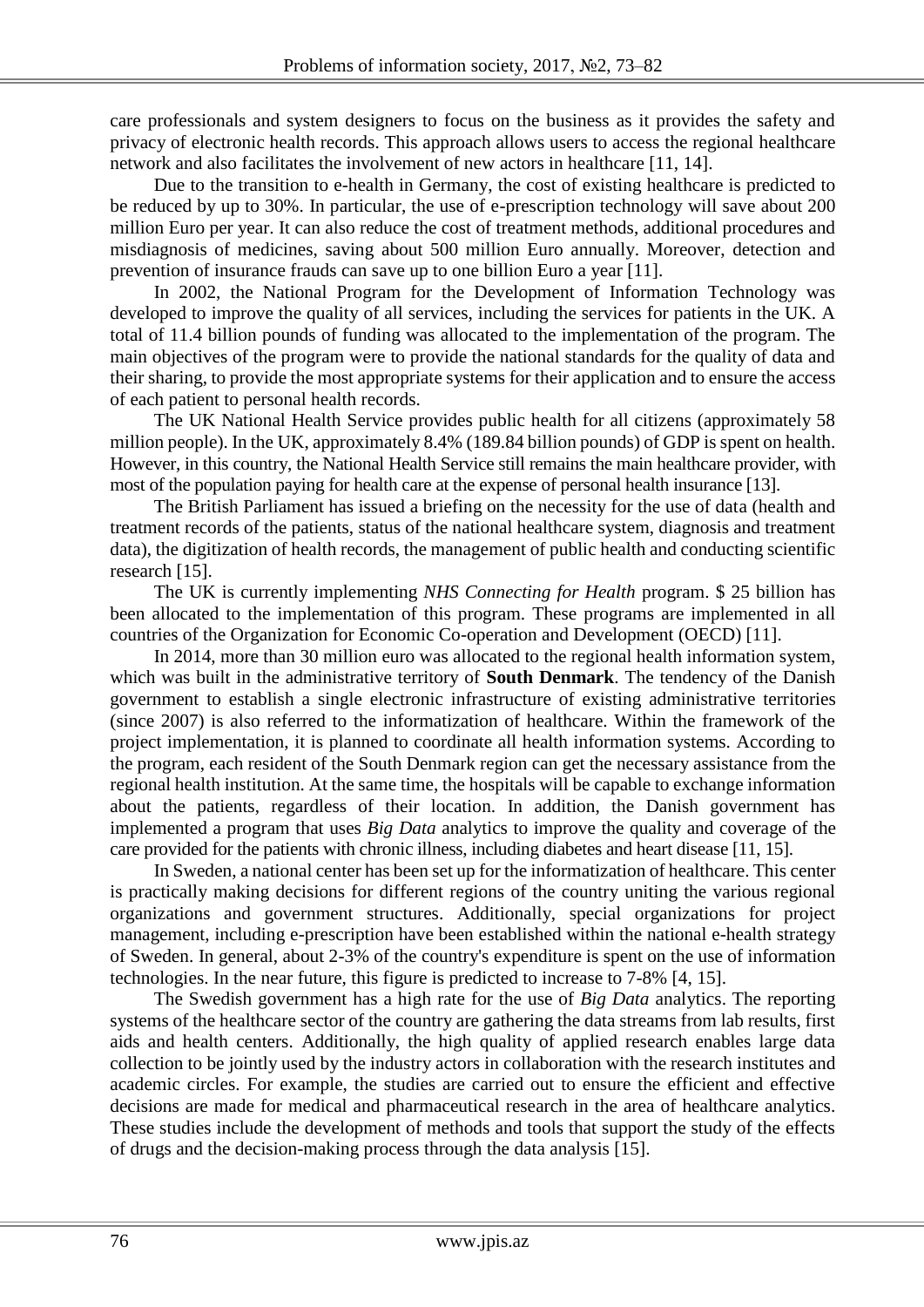care professionals and system designers to focus on the business as it provides the safety and privacy of electronic health records. This approach allows users to access the regional healthcare network and also facilitates the involvement of new actors in healthcare [11, 14].

Due to the transition to e-health in Germany, the cost of existing healthcare is predicted to be reduced by up to 30%. In particular, the use of e-prescription technology will save about 200 million Euro per year. It can also reduce the cost of treatment methods, additional procedures and misdiagnosis of medicines, saving about 500 million Euro annually. Moreover, detection and prevention of insurance frauds can save up to one billion Euro a year [11].

In 2002, the National Program for the Development of Information Technology was developed to improve the quality of all services, including the services for patients in the UK. A total of 11.4 billion pounds of funding was allocated to the implementation of the program. The main objectives of the program were to provide the national standards for the quality of data and their sharing, to provide the most appropriate systems for their application and to ensure the access of each patient to personal health records.

The UK National Health Service provides public health for all citizens (approximately 58 million people). In the UK, approximately 8.4% (189.84 billion pounds) of GDP is spent on health. However, in this country, the National Health Service still remains the main healthcare provider, with most of the population paying for health care at the expense of personal health insurance [13].

The British Parliament has issued a briefing on the necessity for the use of data (health and treatment records of the patients, status of the national healthcare system, diagnosis and treatment data), the digitization of health records, the management of public health and conducting scientific research [15].

The UK is currently implementing *NHS Connecting for Health* program. \$ 25 billion has been allocated to the implementation of this program. These programs are implemented in all countries of the Organization for Economic Co-operation and Development (OECD) [11].

In 2014, more than 30 million euro was allocated to the regional health information system, which was built in the administrative territory of **South Denmark**. The tendency of the Danish government to establish a single electronic infrastructure of existing administrative territories (since 2007) is also referred to the informatization of healthcare. Within the framework of the project implementation, it is planned to coordinate all health information systems. According to the program, each resident of the South Denmark region can get the necessary assistance from the regional health institution. At the same time, the hospitals will be capable to exchange information about the patients, regardless of their location. In addition, the Danish government has implemented a program that uses *Big Data* analytics to improve the quality and coverage of the care provided for the patients with chronic illness, including diabetes and heart disease [11, 15].

In Sweden, a national center has been set up for the informatization of healthcare. This center is practically making decisions for different regions of the country uniting the various regional organizations and government structures. Additionally, special organizations for project management, including e-prescription have been established within the national e-health strategy of Sweden. In general, about 2-3% of the country's expenditure is spent on the use of information technologies. In the near future, this figure is predicted to increase to 7-8% [4, 15].

The Swedish government has a high rate for the use of *Big Data* analytics. The reporting systems of the healthcare sector of the country are gathering the data streams from lab results, first aids and health centers. Additionally, the high quality of applied research enables large data collection to be jointly used by the industry actors in collaboration with the research institutes and academic circles. For example, the studies are carried out to ensure the efficient and effective decisions are made for medical and pharmaceutical research in the area of healthcare analytics. These studies include the development of methods and tools that support the study of the effects of drugs and the decision-making process through the data analysis [15].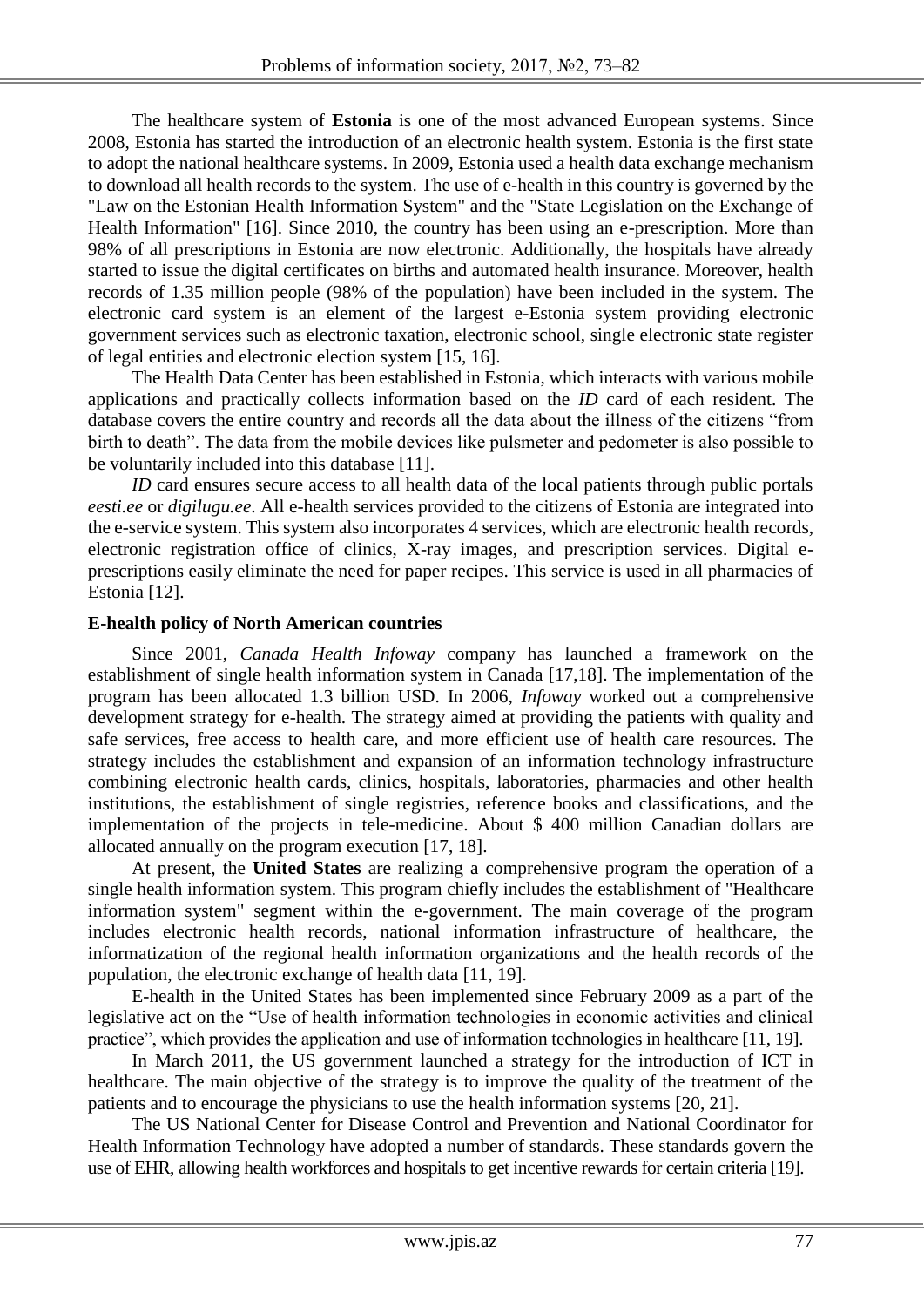The healthcare system of **Estonia** is one of the most advanced European systems. Since 2008, Estonia has started the introduction of an electronic health system. Estonia is the first state to adopt the national healthcare systems. In 2009, Estonia used a health data exchange mechanism to download all health records to the system. The use of e-health in this country is governed by the "Law on the Estonian Health Information System" and the "State Legislation on the Exchange of Health Information" [16]. Since 2010, the country has been using an e-prescription. More than 98% of all prescriptions in Estonia are now electronic. Additionally, the hospitals have already started to issue the digital certificates on births and automated health insurance. Moreover, health records of 1.35 million people (98% of the population) have been included in the system. The electronic card system is an element of the largest e-Estonia system providing electronic government services such as electronic taxation, electronic school, single electronic state register of legal entities and electronic election system [15, 16].

The Health Data Center has been established in Estonia, which interacts with various mobile applications and practically collects information based on the *ID* card of each resident. The database covers the entire country and records all the data about the illness of the citizens "from birth to death". The data from the mobile devices like pulsmeter and pedometer is also possible to be voluntarily included into this database [11].

*ID* card ensures secure access to all health data of the local patients through public portals *eesti.ee* or *digilugu.ee*. All e-health services provided to the citizens of Estonia are integrated into the e-service system. This system also incorporates 4 services, which are electronic health records, electronic registration office of clinics, X-ray images, and prescription services. Digital eprescriptions easily eliminate the need for paper recipes. This service is used in all pharmacies of Estonia [12].

### **E-health policy of North American countries**

Since 2001, *Canada Health Infoway* company has launched a framework on the establishment of single health information system in Canada [17,18]. The implementation of the program has been allocated 1.3 billion USD. In 2006, *Infoway* worked out a comprehensive development strategy for e-health. The strategy aimed at providing the patients with quality and safe services, free access to health care, and more efficient use of health care resources. The strategy includes the establishment and expansion of an information technology infrastructure combining electronic health cards, clinics, hospitals, laboratories, pharmacies and other health institutions, the establishment of single registries, reference books and classifications, and the implementation of the projects in tele-medicine. About \$ 400 million Canadian dollars are allocated annually on the program execution [17, 18].

At present, the **United States** are realizing a comprehensive program the operation of a single health information system. This program chiefly includes the establishment of "Healthcare information system" segment within the e-government. The main coverage of the program includes electronic health records, national information infrastructure of healthcare, the informatization of the regional health information organizations and the health records of the population, the electronic exchange of health data [11, 19].

E-health in the United States has been implemented since February 2009 as a part of the legislative act on the "Use of health information technologies in economic activities and clinical practice", which provides the application and use of information technologies in healthcare [11, 19].

In March 2011, the US government launched a strategy for the introduction of ICT in healthcare. The main objective of the strategy is to improve the quality of the treatment of the patients and to encourage the physicians to use the health information systems [20, 21].

The US National Center for Disease Control and Prevention and National Coordinator for Health Information Technology have adopted a number of standards. These standards govern the use of EHR, allowing health workforces and hospitals to get incentive rewards for certain criteria [19].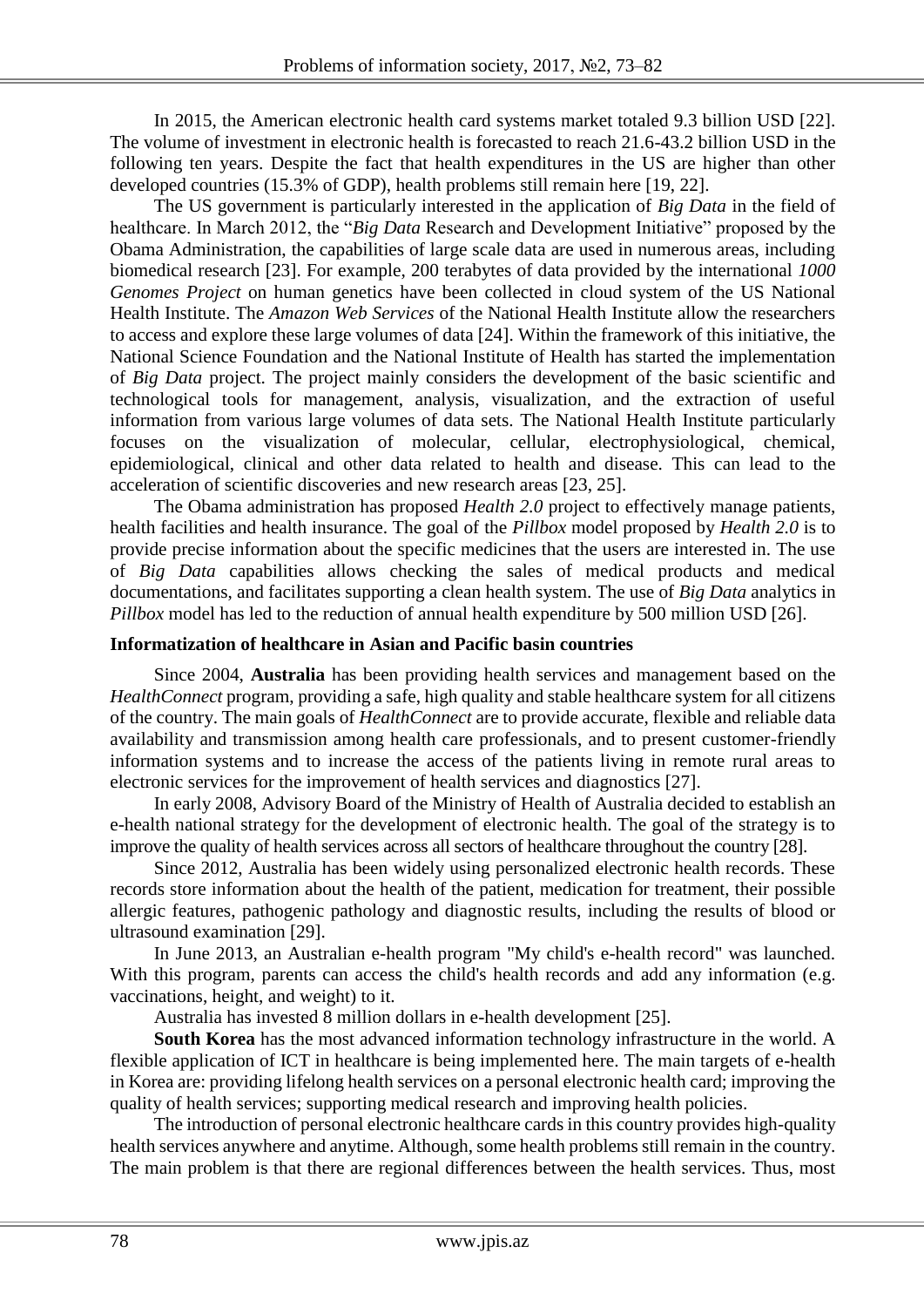In 2015, the American electronic health card systems market totaled 9.3 billion USD [22]. The volume of investment in electronic health is forecasted to reach 21.6-43.2 billion USD in the following ten years. Despite the fact that health expenditures in the US are higher than other developed countries (15.3% of GDP), health problems still remain here [19, 22].

The US government is particularly interested in the application of *Big Data* in the field of healthcare. In March 2012, the "*Big Data* Research and Development Initiative" proposed by the Obama Administration, the capabilities of large scale data are used in numerous areas, including biomedical research [23]. For example, 200 terabytes of data provided by the international *1000 Genomes Project* on human genetics have been collected in cloud system of the US National Health Institute. The *Amazon Web Services* of the National Health Institute allow the researchers to access and explore these large volumes of data [24]. Within the framework of this initiative, the National Science Foundation and the National Institute of Health has started the implementation of *Big Data* project. The project mainly considers the development of the basic scientific and technological tools for management, analysis, visualization, and the extraction of useful information from various large volumes of data sets. The National Health Institute particularly focuses on the visualization of molecular, cellular, electrophysiological, chemical, epidemiological, clinical and other data related to health and disease. This can lead to the acceleration of scientific discoveries and new research areas [23, 25].

The Obama administration has proposed *Health 2.0* project to effectively manage patients, health facilities and health insurance. The goal of the *Pillbox* model proposed by *Health 2.0* is to provide precise information about the specific medicines that the users are interested in. The use of *Big Data* capabilities allows checking the sales of medical products and medical documentations, and facilitates supporting a clean health system. The use of *Big Data* analytics in *Pillbox* model has led to the reduction of annual health expenditure by 500 million USD [26].

#### **Informatization of healthcare in Asian and Pacific basin countries**

Since 2004, **Australia** has been providing health services and management based on the *HealthConnect* program, providing a safe, high quality and stable healthcare system for all citizens of the country. The main goals of *HealthConnect* are to provide accurate, flexible and reliable data availability and transmission among health care professionals, and to present customer-friendly information systems and to increase the access of the patients living in remote rural areas to electronic services for the improvement of health services and diagnostics [27].

In early 2008, Advisory Board of the Ministry of Health of Australia decided to establish an e-health national strategy for the development of electronic health. The goal of the strategy is to improve the quality of health services across all sectors of healthcare throughout the country [28].

Since 2012, Australia has been widely using personalized electronic health records. These records store information about the health of the patient, medication for treatment, their possible allergic features, pathogenic pathology and diagnostic results, including the results of blood or ultrasound examination [29].

In June 2013, an Australian e-health program "My child's e-health record" was launched. With this program, parents can access the child's health records and add any information (e.g. vaccinations, height, and weight) to it.

Australia has invested 8 million dollars in e-health development [25].

**South Korea** has the most advanced information technology infrastructure in the world. A flexible application of ICT in healthcare is being implemented here. The main targets of e-health in Korea are: providing lifelong health services on a personal electronic health card; improving the quality of health services; supporting medical research and improving health policies.

The introduction of personal electronic healthcare cards in this country provides high-quality health services anywhere and anytime. Although, some health problems still remain in the country. The main problem is that there are regional differences between the health services. Thus, most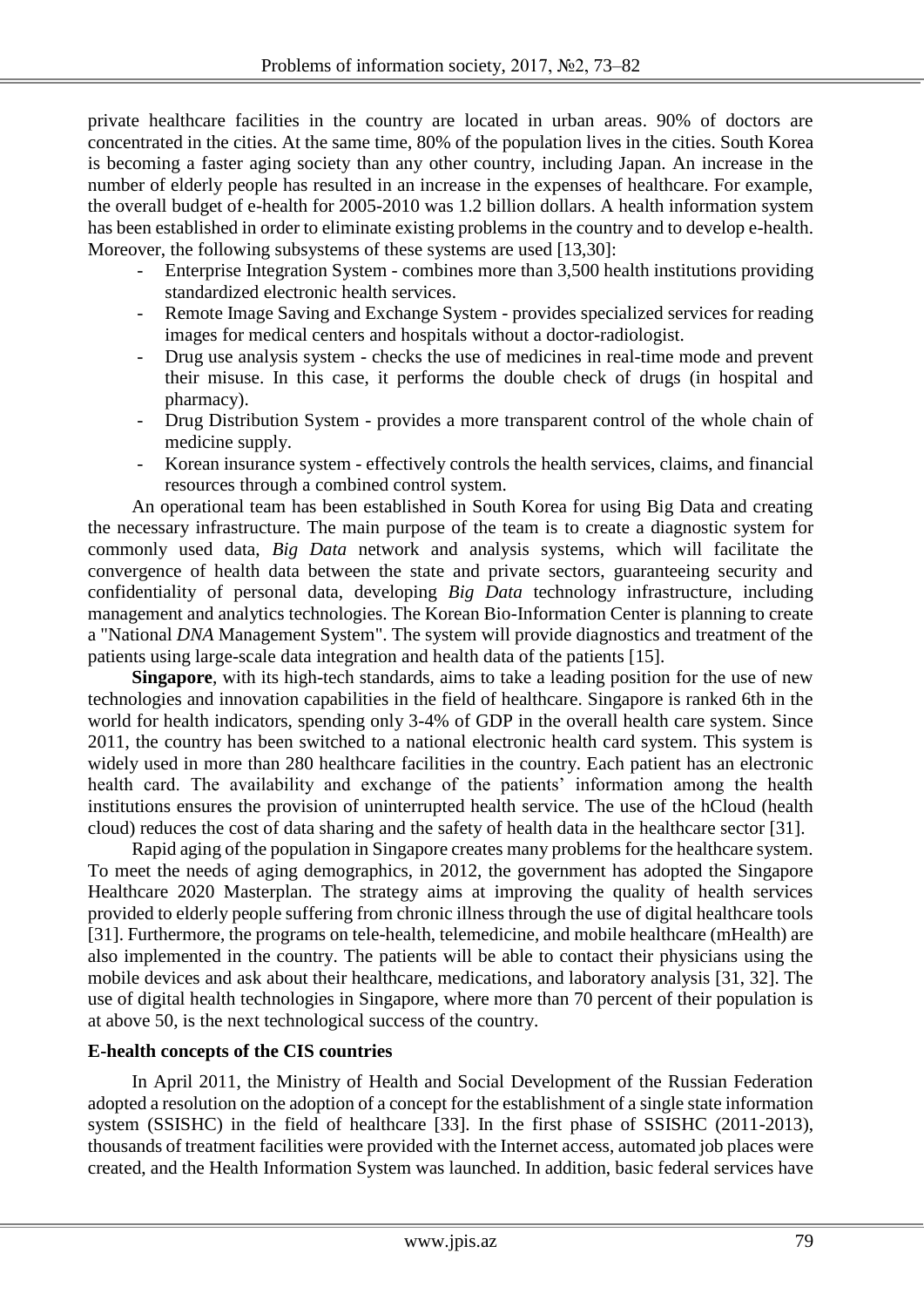private healthcare facilities in the country are located in urban areas. 90% of doctors are concentrated in the cities. At the same time, 80% of the population lives in the cities. South Korea is becoming a faster aging society than any other country, including Japan. An increase in the number of elderly people has resulted in an increase in the expenses of healthcare. For example, the overall budget of e-health for 2005-2010 was 1.2 billion dollars. A health information system has been established in order to eliminate existing problems in the country and to develop e-health. Moreover, the following subsystems of these systems are used [13,30]:

- Enterprise Integration System combines more than 3,500 health institutions providing standardized electronic health services.
- Remote Image Saving and Exchange System provides specialized services for reading images for medical centers and hospitals without a doctor-radiologist.
- Drug use analysis system checks the use of medicines in real-time mode and prevent their misuse. In this case, it performs the double check of drugs (in hospital and pharmacy).
- Drug Distribution System provides a more transparent control of the whole chain of medicine supply.
- Korean insurance system effectively controls the health services, claims, and financial resources through a combined control system.

An operational team has been established in South Korea for using Big Data and creating the necessary infrastructure. The main purpose of the team is to create a diagnostic system for commonly used data, *Big Data* network and analysis systems, which will facilitate the convergence of health data between the state and private sectors, guaranteeing security and confidentiality of personal data, developing *Big Data* technology infrastructure, including management and analytics technologies. The Korean Bio-Information Center is planning to create a "National *DNA* Management System". The system will provide diagnostics and treatment of the patients using large-scale data integration and health data of the patients [15].

**Singapore**, with its high-tech standards, aims to take a leading position for the use of new technologies and innovation capabilities in the field of healthcare. Singapore is ranked 6th in the world for health indicators, spending only 3-4% of GDP in the overall health care system. Since 2011, the country has been switched to a national electronic health card system. This system is widely used in more than 280 healthcare facilities in the country. Each patient has an electronic health card. The availability and exchange of the patients' information among the health institutions ensures the provision of uninterrupted health service. The use of the hCloud (health cloud) reduces the cost of data sharing and the safety of health data in the healthcare sector [31].

Rapid aging of the population in Singapore creates many problems for the healthcare system. To meet the needs of aging demographics, in 2012, the government has adopted the Singapore Healthcare 2020 Masterplan. The strategy aims at improving the quality of health services provided to elderly people suffering from chronic illness through the use of digital healthcare tools [31]. Furthermore, the programs on tele-health, telemedicine, and mobile healthcare (mHealth) are also implemented in the country. The patients will be able to contact their physicians using the mobile devices and ask about their healthcare, medications, and laboratory analysis [31, 32]. The use of digital health technologies in Singapore, where more than 70 percent of their population is at above 50, is the next technological success of the country.

### **E-health concepts of the CIS countries**

In April 2011, the Ministry of Health and Social Development of the Russian Federation adopted a resolution on the adoption of a concept for the establishment of a single state information system (SSISHC) in the field of healthcare [33]. In the first phase of SSISHC (2011-2013), thousands of treatment facilities were provided with the Internet access, automated job places were created, and the Health Information System was launched. In addition, basic federal services have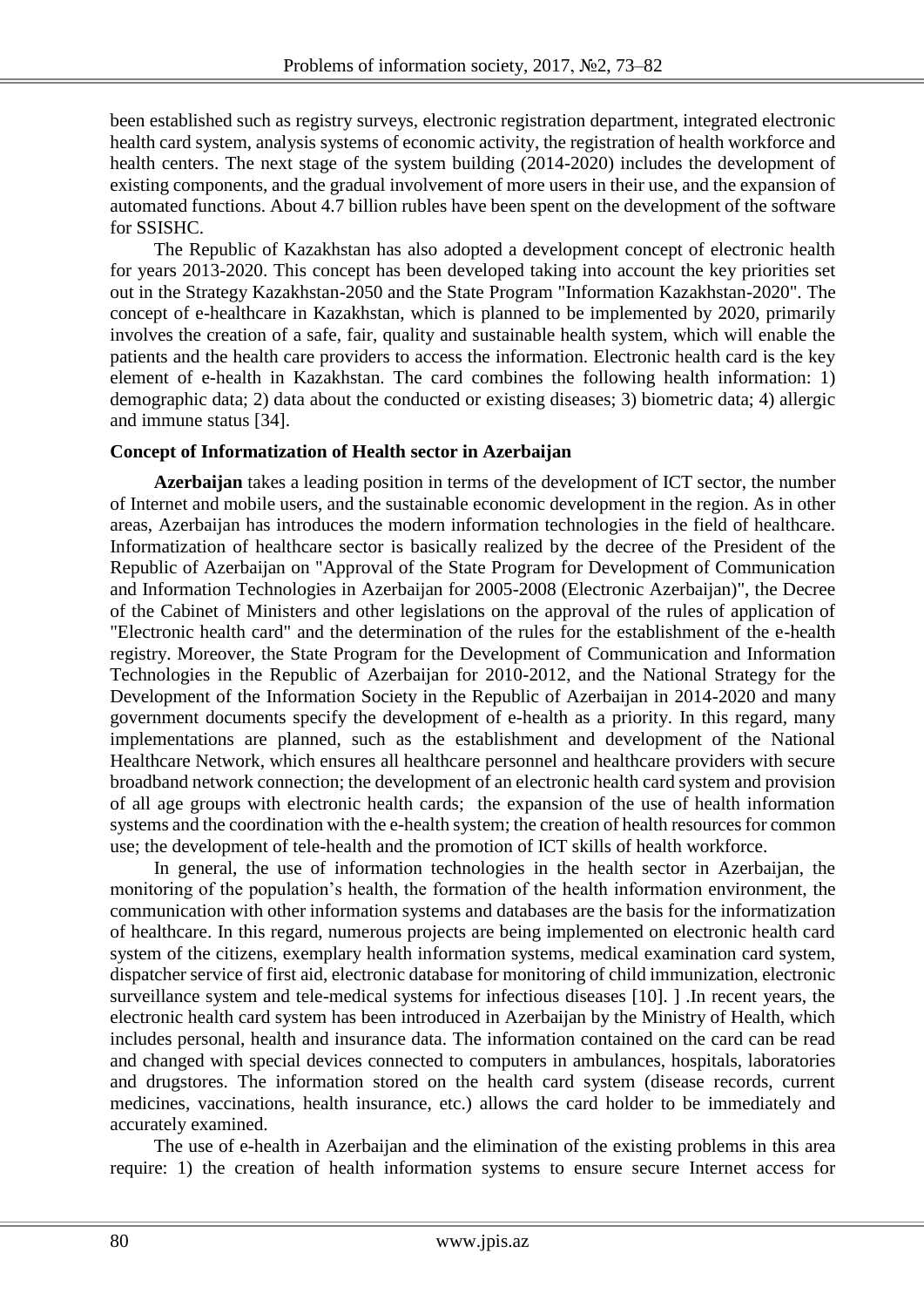been established such as registry surveys, electronic registration department, integrated electronic health card system, analysis systems of economic activity, the registration of health workforce and health centers. The next stage of the system building (2014-2020) includes the development of existing components, and the gradual involvement of more users in their use, and the expansion of automated functions. About 4.7 billion rubles have been spent on the development of the software for SSISHC.

The Republic of Kazakhstan has also adopted a development concept of electronic health for years 2013-2020. This concept has been developed taking into account the key priorities set out in the Strategy Kazakhstan-2050 and the State Program "Information Kazakhstan-2020". The concept of e-healthcare in Kazakhstan, which is planned to be implemented by 2020, primarily involves the creation of a safe, fair, quality and sustainable health system, which will enable the patients and the health care providers to access the information. Electronic health card is the key element of e-health in Kazakhstan. The card combines the following health information: 1) demographic data; 2) data about the conducted or existing diseases; 3) biometric data; 4) allergic and immune status [34].

### **Concept of Informatization of Health sector in Azerbaijan**

**Azerbaijan** takes a leading position in terms of the development of ICT sector, the number of Internet and mobile users, and the sustainable economic development in the region. As in other areas, Azerbaijan has introduces the modern information technologies in the field of healthcare. Informatization of healthcare sector is basically realized by the decree of the President of the Republic of Azerbaijan on "Approval of the State Program for Development of Communication and Information Technologies in Azerbaijan for 2005-2008 (Electronic Azerbaijan)", the Decree of the Cabinet of Ministers and other legislations on the approval of the rules of application of "Electronic health card" and the determination of the rules for the establishment of the e-health registry. Moreover, the State Program for the Development of Communication and Information Technologies in the Republic of Azerbaijan for 2010-2012, and the National Strategy for the Development of the Information Society in the Republic of Azerbaijan in 2014-2020 and many government documents specify the development of e-health as a priority. In this regard, many implementations are planned, such as the establishment and development of the National Healthcare Network, which ensures all healthcare personnel and healthcare providers with secure broadband network connection; the development of an electronic health card system and provision of all age groups with electronic health cards; the expansion of the use of health information systems and the coordination with the e-health system; the creation of health resources for common use; the development of tele-health and the promotion of ICT skills of health workforce.

In general, the use of information technologies in the health sector in Azerbaijan, the monitoring of the population's health, the formation of the health information environment, the communication with other information systems and databases are the basis for the informatization of healthcare. In this regard, numerous projects are being implemented on electronic health card system of the citizens, exemplary health information systems, medical examination card system, dispatcher service of first aid, electronic database for monitoring of child immunization, electronic surveillance system and tele-medical systems for infectious diseases [10]. ] .In recent years, the electronic health card system has been introduced in Azerbaijan by the Ministry of Health, which includes personal, health and insurance data. The information contained on the card can be read and changed with special devices connected to computers in ambulances, hospitals, laboratories and drugstores. The information stored on the health card system (disease records, current medicines, vaccinations, health insurance, etc.) allows the card holder to be immediately and accurately examined.

The use of e-health in Azerbaijan and the elimination of the existing problems in this area require: 1) the creation of health information systems to ensure secure Internet access for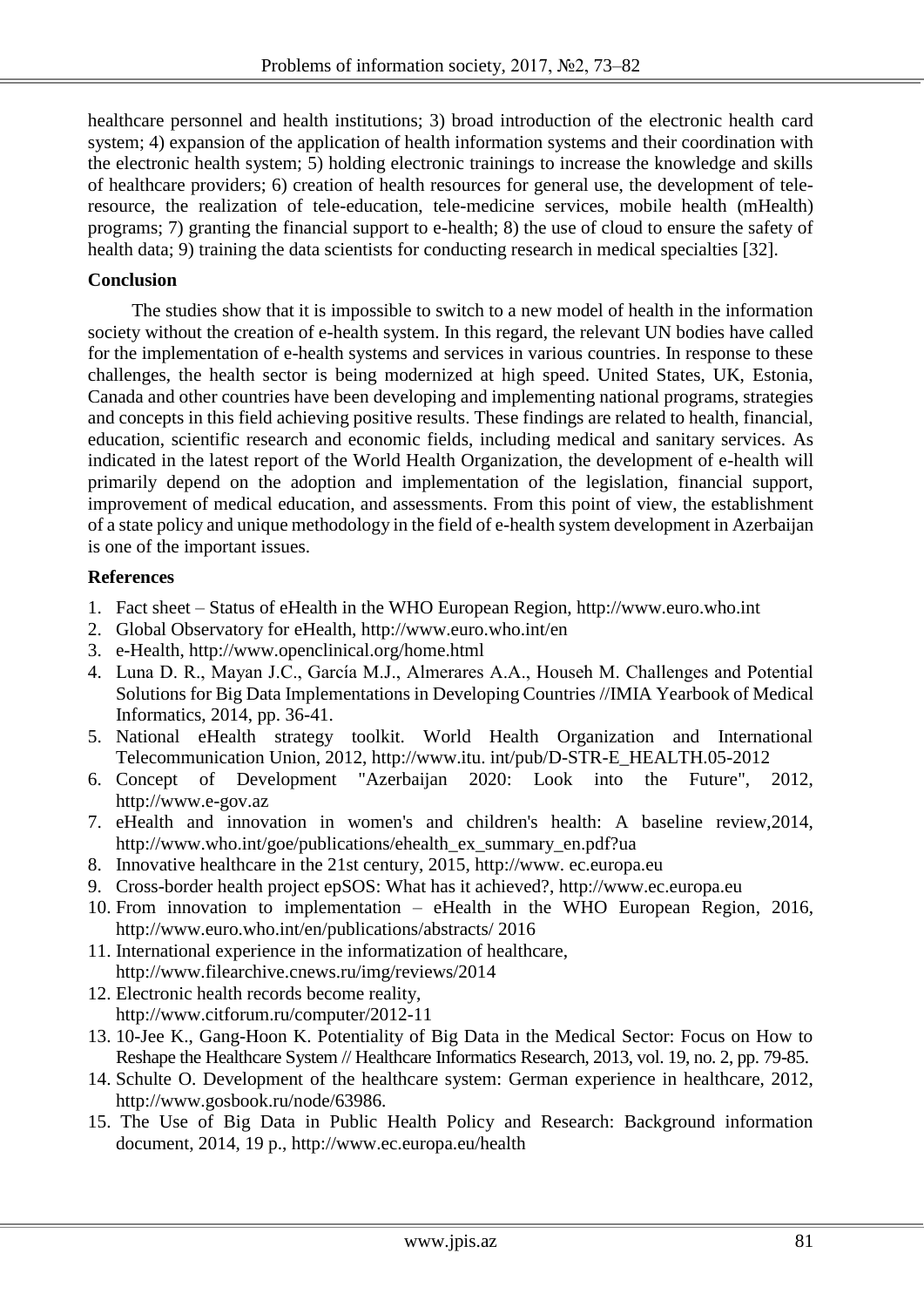healthcare personnel and health institutions; 3) broad introduction of the electronic health card system; 4) expansion of the application of health information systems and their coordination with the electronic health system; 5) holding electronic trainings to increase the knowledge and skills of healthcare providers; 6) creation of health resources for general use, the development of teleresource, the realization of tele-education, tele-medicine services, mobile health (mHealth) programs; 7) granting the financial support to e-health; 8) the use of cloud to ensure the safety of health data; 9) training the data scientists for conducting research in medical specialties [32].

### **Conclusion**

The studies show that it is impossible to switch to a new model of health in the information society without the creation of e-health system. In this regard, the relevant UN bodies have called for the implementation of e-health systems and services in various countries. In response to these challenges, the health sector is being modernized at high speed. United States, UK, Estonia, Canada and other countries have been developing and implementing national programs, strategies and concepts in this field achieving positive results. These findings are related to health, financial, education, scientific research and economic fields, including medical and sanitary services. As indicated in the latest report of the World Health Organization, the development of e-health will primarily depend on the adoption and implementation of the legislation, financial support, improvement of medical education, and assessments. From this point of view, the establishment of a state policy and unique methodology in the field of e-health system development in Azerbaijan is one of the important issues.

#### **References**

- 1. Fact sheet Status of eHealth in the WHO European Region, http://www.euro.who.int
- 2. Global Observatory for eHealth, http://www.euro.who.int/en
- 3. e-Health, http://www.openclinical.org/home.html
- 4. Luna D. R., Mayan J.C., García M.J., Almerares A.A., Househ M. Challenges and Potential Solutions for Big Data Implementations in Developing Countries //IMIA Yearbook of Medical Informatics, 2014, pp. 36-41.
- 5. National eHealth strategy toolkit. World Health Organization and International Telecommunication Union, 2012, http://www.itu. int/pub/D-STR-E\_HEALTH.05-2012
- 6. Concept of Development "Azerbaijan 2020: Look into the Future", 2012, http:/[/www.e-gov.az](http://www.e-gov.az/)
- 7. eHealth and innovation in women's and children's health: A baseline review,2014, [http://www.who.int/goe/publications/ehealth\\_ex\\_summary\\_en.pdf?ua](http://www.who.int/goe/publications/ehealth_ex_summary_en.pdf?ua)
- 8. Innovative healthcare in the 21st century, 2015, http://www. ec.europa.eu
- 9. Cross-border health project epSOS: What has it achieved?, http://www.ec.europa.eu
- 10. From innovation to implementation eHealth in the WHO European Region, 2016, http://www.euro.who.int/en/publications/abstracts/ 2016
- 11. International experience in the informatization of healthcare, http://www.filearchive.cnews.ru/img/reviews/2014
- 12. Electronic health records become reality, http://www.citforum.ru/computer/2012-11
- 13. 10-Jee K., Gang-Hoon K. Potentiality of Big Data in the Medical Sector: Focus on How to Reshape the Healthcare System // Healthcare Informatics Research, 2013, vol. 19, no. 2, pp. 79-85.
- 14. Schulte O. Development of the healthcare system: German experience in healthcare, 2012, http://www.gosbook.ru/node/63986.
- 15. The Use of Big Data in Public Health Policy and Research: Background information document, 2014, 19 p., http://www.ec.europa.eu/health